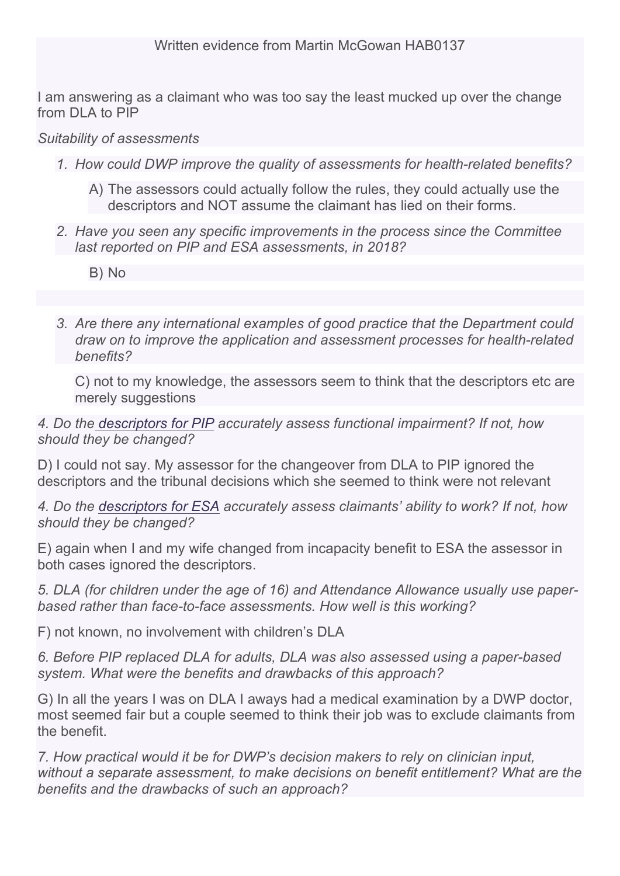I am answering as a claimant who was too say the least mucked up over the change from DLA to PIP

## *Suitability of assessments*

- *1. How could DWP improve the quality of assessments for health-related benefits?*
	- A) The assessors could actually follow the rules, they could actually use the descriptors and NOT assume the claimant has lied on their forms.
- *2. Have you seen any specific improvements in the process since the Committee last reported on PIP and ESA assessments, in 2018?*
	- B) No
- *3. Are there any international examples of good practice that the Department could draw on to improve the application and assessment processes for health-related benefits?*

C) not to my knowledge, the assessors seem to think that the descriptors etc are merely suggestions

*4. Do the [descriptors](https://www.citizensadvice.org.uk/Global/Migrated_Documents/adviceguide/pip-9-table-of-activities-descriptors-and-points.pdf) [for](https://www.citizensadvice.org.uk/Global/Migrated_Documents/adviceguide/pip-9-table-of-activities-descriptors-and-points.pdf) [PIP](https://www.citizensadvice.org.uk/Global/Migrated_Documents/adviceguide/pip-9-table-of-activities-descriptors-and-points.pdf) accurately assess functional impairment? If not, how should they be changed?*

D) I could not say. My assessor for the changeover from DLA to PIP ignored the descriptors and the tribunal decisions which she seemed to think were not relevant

*4. Do the [descriptors](https://www.citizensadvice.org.uk/benefits/sick-or-disabled-people-and-carers/employment-and-support-allowance/help-with-your-esa-claim/fill-in-form/) [for](https://www.citizensadvice.org.uk/benefits/sick-or-disabled-people-and-carers/employment-and-support-allowance/help-with-your-esa-claim/fill-in-form/) [ESA](https://www.citizensadvice.org.uk/benefits/sick-or-disabled-people-and-carers/employment-and-support-allowance/help-with-your-esa-claim/fill-in-form/) accurately assess claimants' ability to work? If not, how should they be changed?*

E) again when I and my wife changed from incapacity benefit to ESA the assessor in both cases ignored the descriptors.

*5. DLA (for children under the age of 16) and Attendance Allowance usually use paperbased rather than face-to-face assessments. How well is this working?*

F) not known, no involvement with children's DLA

*6. Before PIP replaced DLA for adults, DLA was also assessed using a paper-based system. What were the benefits and drawbacks of this approach?*

G) In all the years I was on DLA I aways had a medical examination by a DWP doctor, most seemed fair but a couple seemed to think their job was to exclude claimants from the benefit.

*7. How practical would it be for DWP's decision makers to rely on clinician input, without a separate assessment, to make decisions on benefit entitlement? What are the benefits and the drawbacks of such an approach?*